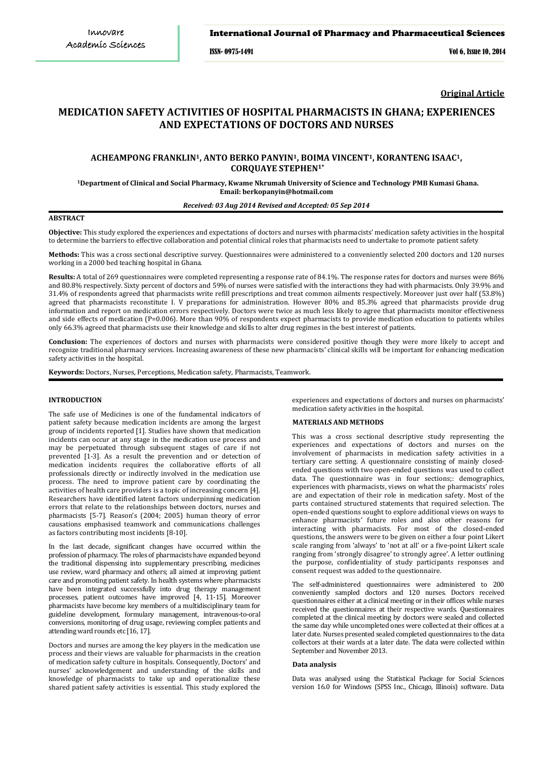#### International Journal of Pharmacy and Pharmaceutical Sciences

ISSN- 0975-1491 Vol 6, Issue 10, 2014

**Original Article**

# **MEDICATION SAFETY ACTIVITIES OF HOSPITAL PHARMACISTS IN GHANA; EXPERIENCES AND EXPECTATIONS OF DOCTORS AND NURSES**

# **ACHEAMPONG FRANKLIN1, ANTO BERKO PANYIN1, BOIMA VINCENT1, KORANTENG ISAAC1,CORQUAYE STEPHEN1\***

**<sup>1</sup>Department of Clinical and Social Pharmacy, Kwame Nkrumah University of Science and Technology PMB Kumasi Ghana. Email: berkopanyin@hotmail.com**

# *Received: 03 Aug 2014 Revised and Accepted: 05 Sep 2014*

# **ABSTRACT**

**Objective:** This study explored the experiences and expectations of doctors and nurses with pharmacists' medication safety activities in the hospital to determine the barriers to effective collaboration and potential clinical roles that pharmacists need to undertake to promote patient safety

**Methods:** This was a cross sectional descriptive survey. Questionnaires were administered to a conveniently selected 200 doctors and 120 nurses working in a 2000 bed teaching hospital in Ghana.

Results: A total of 269 questionnaires were completed representing a response rate of 84.1%. The response rates for doctors and nurses were 86% and 80.8% respectively. Sixty percent of doctors and 59% of nurses were satisfied with the interactions they had with pharmacists. Only 39.9% and 31.4% of respondents agreed that pharmacists write refill prescriptions and treat common ailments respectively. Moreover just over half (53.8%) agreed that pharmacists reconstitute I. V preparations for administration. However 80% and 85.3% agreed that pharmacists provide drug information and report on medication errors respectively. Doctors were twice as much less likely to agree that pharmacists monitor effectiveness and side effects of medication (P=0.006). More than 90% of respondents expect pharmacists to provide medication education to patients whiles only 66.3% agreed that pharmacists use their knowledge and skills to alter drug regimes in the best interest of patients.

**Conclusion:** The experiences of doctors and nurses with pharmacists were considered positive though they were more likely to accept and recognize traditional pharmacy services. Increasing awareness of these new pharmacists' clinical skills will be important for enhancing medication safety activities in the hospital.

**Keywords:** Doctors, Nurses, Perceptions, Medication safety, Pharmacists, Teamwork.

# **INTRODUCTION**

The safe use of Medicines is one of the fundamental indicators of patient safety because medication incidents are among the largest group of incidents reported [\[1\]](#page-3-0). Studies have shown that medication incidents can occur at any stage in the medication use process and may be perpetuated through subsequent stages of care if not prevented [\[1-3\]](#page-3-0). As a result the prevention and or detection of medication incidents requires the collaborative efforts of all professionals directly or indirectly involved in the medication use process. The need to improve patient care by coordinating the activities of health care providers is a topic of increasing concern [\[4\]](#page-3-1). Researchers have identified latent factors underpinning medication errors that relate to the relationships between doctors, nurses and pharmacists [\[5-7\]](#page-3-2). Reason's (2004; 2005) human theory of error causations emphasised teamwork and communications challenges as factors contributing most incidents [\[8-10\]](#page-3-3).

In the last decade, significant changes have occurred within the profession of pharmacy. The roles of pharmacists have expanded beyond the traditional dispensing into supplementary prescribing, medicines use review, ward pharmacy and others; all aimed at improving patient care and promoting patient safety. In health systems where pharmacists have been integrated successfully into drug therapy management processes, patient outcomes have improved [\[4,](#page-3-1) [11-15\]](#page-3-4). Moreover pharmacists have become key members of a multidisciplinary team for guideline development, formulary management, intravenous-to-oral conversions, monitoring of drug usage, reviewing complex patients and attending ward rounds etc [\[16,](#page-3-5) [17\].](#page-3-6)

Doctors and nurses are among the key players in the medication use process and their views are valuable for pharmacists in the creation of medication safety culture in hospitals. Consequently, Doctors' and nurses' acknowledgement and understanding of the skills and knowledge of pharmacists to take up and operationalize these shared patient safety activities is essential. This study explored the

experiences and expectations of doctors and nurses on pharmacists' medication safety activities in the hospital.

#### **MATERIALS AND METHODS**

This was a cross sectional descriptive study representing the experiences and expectations of doctors and nurses on the involvement of pharmacists in medication safety activities in a tertiary care setting. A questionnaire consisting of mainly closedended questions with two open-ended questions was used to collect data. The questionnaire was in four sections;: demographics, experiences with pharmacists, views on what the pharmacists' roles are and expectation of their role in medication safety. Most of the parts contained structured statements that required selection. The open-ended questions sought to explore additional views on ways to enhance pharmacists' future roles and also other reasons for interacting with pharmacists. For most of the closed-ended questions, the answers were to be given on either a four point Likert scale ranging from 'always' to 'not at all' or a five-point Likert scale ranging from 'strongly disagree' to strongly agree'. A letter outlining the purpose, confidentiality of study participants responses and consent request was added to the questionnaire.

The self-administered questionnaires were administered to 200 conveniently sampled doctors and 120 nurses. Doctors received questionnaires either at a clinical meeting or in their offices while nurses received the questionnaires at their respective wards. Questionnaires completed at the clinical meeting by doctors were sealed and collected the same day while uncompleted ones were collected at their offices at a later date. Nurses presented sealed completed questionnaires to the data collectors at their wards at a later date. The data were collected within September and November 2013.

#### **Data analysis**

Data was analysed using the Statistical Package for Social Sciences version 16.0 for Windows (SPSS Inc., Chicago, Illinois) software. Data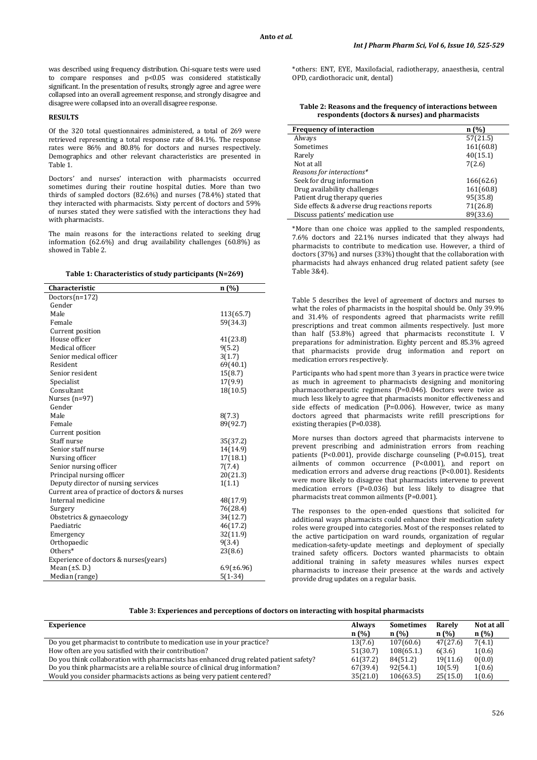was described using frequency distribution. Chi-square tests were used to compare responses and p<0.05 was considered statistically significant. In the presentation of results, strongly agree and agree were collapsed into an overall agreement response, and strongly disagree and disagree were collapsed into an overall disagree response.

## **RESULTS**

Of the 320 total questionnaires administered, a total of 269 were retrieved representing a total response rate of 84.1%. The response rates were 86% and 80.8% for doctors and nurses respectively. Demographics and other relevant characteristics are presented in Table 1.

Doctors' and nurses' interaction with pharmacists occurred sometimes during their routine hospital duties. More than two thirds of sampled doctors (82.6%) and nurses (78.4%) stated that they interacted with pharmacists. Sixty percent of doctors and 59% of nurses stated they were satisfied with the interactions they had with pharmacists.

The main reasons for the interactions related to seeking drug information (62.6%) and drug availability challenges (60.8%) as showed in Table 2.

| Table 1: Characteristics of study participants (N=269) |  |
|--------------------------------------------------------|--|

| Characteristic                               | n(%)            |
|----------------------------------------------|-----------------|
| Doctors $(n=172)$                            |                 |
| Gender                                       |                 |
| Male                                         | 113(65.7)       |
| Female                                       | 59(34.3)        |
| Current position                             |                 |
| House officer                                | 41(23.8)        |
| Medical officer                              | 9(5.2)          |
| Senior medical officer                       | 3(1.7)          |
| Resident                                     | 69(40.1)        |
| Senior resident                              | 15(8.7)         |
| Specialist                                   | 17(9.9)         |
| Consultant                                   | 18(10.5)        |
| Nurses $(n=97)$                              |                 |
| Gender                                       |                 |
| Male                                         | 8(7.3)          |
| Female                                       | 89(92.7)        |
| Current position                             |                 |
| Staff nurse                                  | 35(37.2)        |
| Senior staff nurse                           | 14(14.9)        |
| Nursing officer                              | 17(18.1)        |
| Senior nursing officer                       | 7(7.4)          |
| Principal nursing officer                    | 20(21.3)        |
| Deputy director of nursing services          | 1(1.1)          |
| Current area of practice of doctors & nurses |                 |
| Internal medicine                            | 48(17.9)        |
| Surgery                                      | 76(28.4)        |
| Obstetrics & gynaecology                     | 34(12.7)        |
| Paediatric                                   | 46(17.2)        |
| Emergency                                    | 32(11.9)        |
| Orthopaedic                                  | 9(3.4)          |
| Others*                                      | 23(8.6)         |
| Experience of doctors & nurses(years)        |                 |
| Mean $(\pm S. D.)$                           | $6.9(\pm 6.96)$ |
| Median (range)                               | $5(1-34)$       |

\*others: ENT, EYE, Maxilofacial, radiotherapy, anaesthesia, central OPD, cardiothoracic unit, dental)

**Table 2: Reasons and the frequency of interactions between respondents (doctors & nurses) and pharmacists**

| <b>Frequency of interaction</b>               | n(%       |
|-----------------------------------------------|-----------|
| Always                                        | 57(21.5)  |
| Sometimes                                     | 161(60.8) |
| Rarely                                        | 40(15.1)  |
| Not at all                                    | 7(2.6)    |
| Reasons for interactions*                     |           |
| Seek for drug information                     | 166(62.6) |
| Drug availability challenges                  | 161(60.8) |
| Patient drug therapy queries                  | 95(35.8)  |
| Side effects & adverse drug reactions reports | 71(26.8)  |
| Discuss patients' medication use              | 89(33.6)  |

\*More than one choice was applied to the sampled respondents, 7.6% doctors and 22.1% nurses indicated that they always had pharmacists to contribute to medication use. However, a third of doctors (37%) and nurses (33%) thought that the collaboration with pharmacists had always enhanced drug related patient safety (see Table 3&4).

Table 5 describes the level of agreement of doctors and nurses to what the roles of pharmacists in the hospital should be. Only 39.9% and 31.4% of respondents agreed that pharmacists write refill prescriptions and treat common ailments respectively. Just more than half (53.8%) agreed that pharmacists reconstitute I. V preparations for administration. Eighty percent and 85.3% agreed that pharmacists provide drug information and report on medication errors respectively.

Participants who had spent more than 3 years in practice were twice as much in agreement to pharmacists designing and monitoring pharmacotherapeutic regimens (P=0.046). Doctors were twice as much less likely to agree that pharmacists monitor effectiveness and side effects of medication (P=0.006). However, twice as many doctors agreed that pharmacists write refill prescriptions for existing therapies (P=0.038).

More nurses than doctors agreed that pharmacists intervene to prevent prescribing and administration errors from reaching patients (P<0.001), provide discharge counseling (P=0.015), treat ailments of common occurrence (P<0.001), and report on medication errors and adverse drug reactions (P<0.001). Residents were more likely to disagree that pharmacists intervene to prevent medication errors (P=0.036) but less likely to disagree that pharmacists treat common ailments (P=0.001).

The responses to the open-ended questions that solicited for additional ways pharmacists could enhance their medication safety roles were grouped into categories. Most of the responses related to the active participation on ward rounds, organization of regular medication-safety-update meetings and deployment of specially trained safety officers. Doctors wanted pharmacists to obtain additional training in safety measures whiles nurses expect pharmacists to increase their presence at the wards and actively provide drug updates on a regular basis.

| Experience                                                                            | <b>Always</b> | <b>Sometimes</b> | Rarely   | Not at all |
|---------------------------------------------------------------------------------------|---------------|------------------|----------|------------|
|                                                                                       | n(%)          | n(%)             | n(%)     | n(%)       |
| Do you get pharmacist to contribute to medication use in your practice?               | 13(7.6)       | 107(60.6)        | 47(27.6) | 7(4.1)     |
| How often are you satisfied with their contribution?                                  | 51(30.7)      | 108(65.1)        | 6(3.6)   | 1(0.6)     |
| Do you think collaboration with pharmacists has enhanced drug related patient safety? | 61(37.2)      | 84(51.2)         | 19(11.6) | 0(0.0)     |
| Do you think pharmacists are a reliable source of clinical drug information?          | 67(39.4)      | 92(54.1)         | 10(5.9)  | 1(0.6)     |
| Would you consider pharmacists actions as being very patient centered?                | 35(21.0)      | 106(63.5)        | 25(15.0) | 1(0.6)     |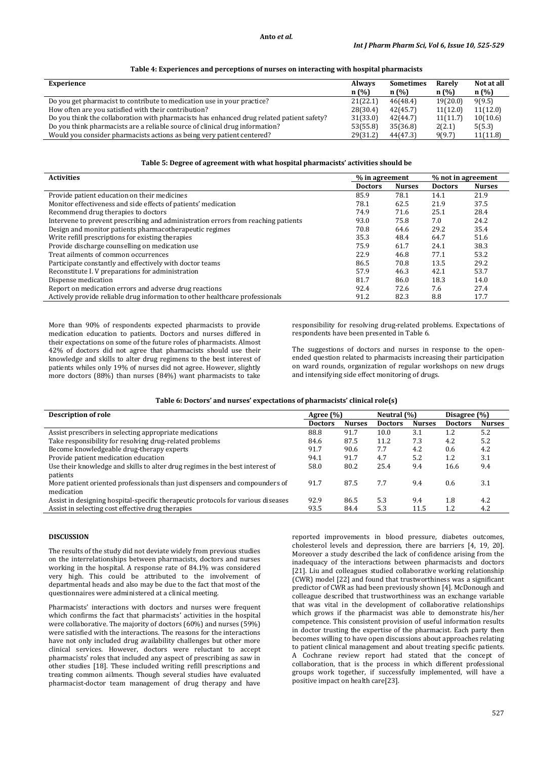#### **Anto** *et al.*

| Experience                                                                                | <b>Always</b> | <b>Sometimes</b> | Rarely   | Not at all |
|-------------------------------------------------------------------------------------------|---------------|------------------|----------|------------|
|                                                                                           | n(%)          | n(%)             | n(%)     | n(%)       |
| Do you get pharmacist to contribute to medication use in your practice?                   | 21(22.1)      | 46(48.4)         | 19(20.0) | 9(9.5)     |
| How often are you satisfied with their contribution?                                      | 28(30.4)      | 42(45.7)         | 11(12.0) | 11(12.0)   |
| Do you think the collaboration with pharmacists has enhanced drug related patient safety? | 31(33.0)      | 42(44.7)         | 11(11.7) | 10(10.6)   |
| Do you think pharmacists are a reliable source of clinical drug information?              | 53(55.8)      | 35(36.8)         | 2(2.1)   | 5(5.3)     |
| Would you consider pharmacists actions as being very patient centered?                    | 29(31.2)      | 44(47.3)         | 9(9.7)   | 11(11.8)   |

# **Table 4: Experiences and perceptions of nurses on interacting with hospital pharmacists**

#### **Table 5: Degree of agreement with what hospital pharmacists' activities should be**

| <b>Activities</b>                                                                 | % in agreement |               | % not in agreement |               |
|-----------------------------------------------------------------------------------|----------------|---------------|--------------------|---------------|
|                                                                                   | <b>Doctors</b> | <b>Nurses</b> | <b>Doctors</b>     | <b>Nurses</b> |
| Provide patient education on their medicines                                      | 85.9           | 78.1          | 14.1               | 21.9          |
| Monitor effectiveness and side effects of patients' medication                    | 78.1           | 62.5          | 21.9               | 37.5          |
| Recommend drug therapies to doctors                                               | 74.9           | 71.6          | 25.1               | 28.4          |
| Intervene to prevent prescribing and administration errors from reaching patients | 93.0           | 75.8          | 7.0                | 24.2          |
| Design and monitor patients pharmacotherapeutic regimes                           | 70.8           | 64.6          | 29.2               | 35.4          |
| Write refill prescriptions for existing therapies                                 | 35.3           | 48.4          | 64.7               | 51.6          |
| Provide discharge counselling on medication use                                   | 75.9           | 61.7          | 24.1               | 38.3          |
| Treat ailments of common occurrences                                              | 22.9           | 46.8          | 77.1               | 53.2          |
| Participate constantly and effectively with doctor teams                          | 86.5           | 70.8          | 13.5               | 29.2          |
| Reconstitute I. V preparations for administration                                 | 57.9           | 46.3          | 42.1               | 53.7          |
| Dispense medication                                                               | 81.7           | 86.0          | 18.3               | 14.0          |
| Report on medication errors and adverse drug reactions                            | 92.4           | 72.6          | 7.6                | 27.4          |
| Actively provide reliable drug information to other healthcare professionals      | 91.2           | 82.3          | 8.8                | 17.7          |

More than 90% of respondents expected pharmacists to provide medication education to patients. Doctors and nurses differed in their expectations on some of the future roles of pharmacists. Almost 42% of doctors did not agree that pharmacists should use their knowledge and skills to alter drug regimens to the best interest of patients whiles only 19% of nurses did not agree. However, slightly more doctors (88%) than nurses (84%) want pharmacists to take responsibility for resolving drug-related problems. Expectations of respondents have been presented in Table 6.

The suggestions of doctors and nurses in response to the openended question related to pharmacists increasing their participation on ward rounds, organization of regular workshops on new drugs and intensifying side effect monitoring of drugs.

# **Table 6: Doctors' and nurses' expectations of pharmacists' clinical role(s)**

| <b>Description of role</b>                                                       | Agree $(\% )$  |               | Neutral (%)    |               | Disagree (%)   |               |
|----------------------------------------------------------------------------------|----------------|---------------|----------------|---------------|----------------|---------------|
|                                                                                  | <b>Doctors</b> | <b>Nurses</b> | <b>Doctors</b> | <b>Nurses</b> | <b>Doctors</b> | <b>Nurses</b> |
| Assist prescribers in selecting appropriate medications                          | 88.8           | 91.7          | 10.0           | 3.1           | 1.2            | 5.2           |
| Take responsibility for resolving drug-related problems                          | 84.6           | 87.5          | 11.2           | 7.3           | 4.2            | 5.2           |
| Become knowledgeable drug-therapy experts                                        | 91.7           | 90.6          | 7.7            | 4.2           | 0.6            | 4.2           |
| Provide patient medication education                                             | 94.1           | 91.7          | 4.7            | 5.2           | 1.2            | 3.1           |
| Use their knowledge and skills to alter drug regimes in the best interest of     | 58.0           | 80.2          | 25.4           | 9.4           | 16.6           | 9.4           |
| patients                                                                         |                |               |                |               |                |               |
| More patient oriented professionals than just dispensers and compounders of      | 91.7           | 87.5          | 7.7            | 9.4           | 0.6            | 3.1           |
| medication                                                                       |                |               |                |               |                |               |
| Assist in designing hospital-specific therapeutic protocols for various diseases | 92.9           | 86.5          | 5.3            | 9.4           | 1.8            | 4.2           |
| Assist in selecting cost effective drug therapies                                | 93.5           | 84.4          | 5.3            | 11.5          | 1.2            | 4.2           |

#### **DISCUSSION**

The results of the study did not deviate widely from previous studies on the interrelationships between pharmacists, doctors and nurses working in the hospital. A response rate of 84.1% was considered very high. This could be attributed to the involvement of departmental heads and also may be due to the fact that most of the questionnaires were administered at a clinical meeting.

Pharmacists' interactions with doctors and nurses were frequent which confirms the fact that pharmacists' activities in the hospital were collaborative. The majority of doctors (60%) and nurses (59%) were satisfied with the interactions. The reasons for the interactions have not only included drug availability challenges but other more clinical services. However, doctors were reluctant to accept pharmacists' roles that included any aspect of prescribing as saw in other studies [\[18\]](#page-3-7). These included writing refill prescriptions and treating common ailments. Though several studies have evaluated pharmacist-doctor team management of drug therapy and have reported improvements in blood pressure, diabetes outcomes, cholesterol levels and depression, there are barriers [\[4,](#page-3-1) [19,](#page-4-0) [20\]](#page-4-1). Moreover a study described the lack of confidence arising from the inadequacy of the interactions between pharmacists and doctors [\[21\]](#page-4-2). Liu and colleagues studied collaborative working relationship (CWR) model [\[22\]](#page-4-3) and found that trustworthiness was a significant predictor of CWR as had been previously shown [\[4\]](#page-3-1). McDonough and colleague described that trustworthiness was an exchange variable that was vital in the development of collaborative relationships which grows if the pharmacist was able to demonstrate his/her competence. This consistent provision of useful information results in doctor trusting the expertise of the pharmacist. Each party then becomes willing to have open discussions about approaches relating to patient clinical management and about treating specific patients. A Cochrane review report had stated that the concept of collaboration, that is the process in which different professional groups work together, if successfully implemented, will have a positive impact on health care[\[23\]](#page-4-4).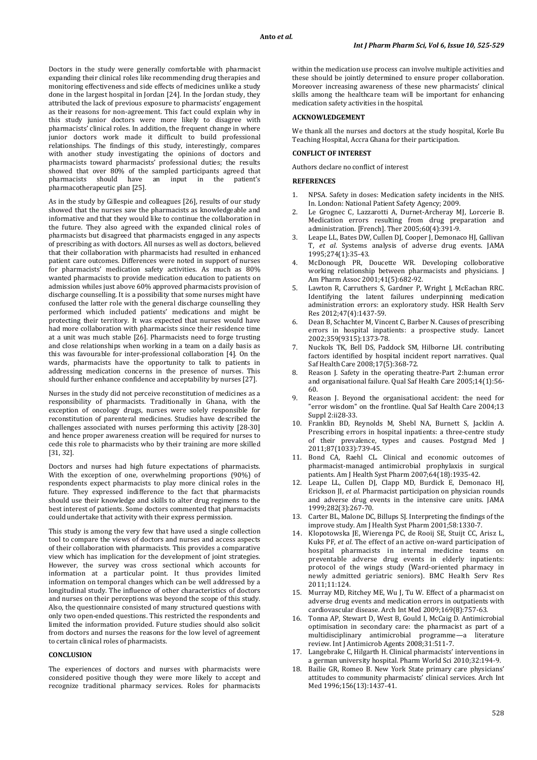Doctors in the study were generally comfortable with pharmacist expanding their clinical roles like recommending drug therapies and monitoring effectiveness and side effects of medicines unlike a study done in the largest hospital in Jordan [\[24\]](#page-4-5). In the Jordan study, they attributed the lack of previous exposure to pharmacists' engagement as their reasons for non-agreement. This fact could explain why in this study junior doctors were more likely to disagree with pharmacists' clinical roles. In addition, the frequent change in where junior doctors work made it difficult to build professional relationships. The findings of this study, interestingly, compares with another study investigating the opinions of doctors and pharmacists toward pharmacists' professional duties; the results showed that over 80% of the sampled participants agreed that pharmacists should have an input in the patient's pharmacists should have an input in the pharmacotherapeutic plan [\[25\]](#page-4-6).

As in the study by Gillespie and colleagues [\[26\]](#page-4-7), results of our study showed that the nurses saw the pharmacists as knowledgeable and informative and that they would like to continue the collaboration in the future. They also agreed with the expanded clinical roles of pharmacists but disagreed that pharmacists engaged in any aspects of prescribing as with doctors. All nurses as well as doctors, believed that their collaboration with pharmacists had resulted in enhanced patient care outcomes. Differences were noted in support of nurses for pharmacists' medication safety activities. As much as 80% wanted pharmacists to provide medication education to patients on admission whiles just above 60% approved pharmacists provision of discharge counselling. It is a possibility that some nurses might have confused the latter role with the general discharge counselling they performed which included patients' medications and might be protecting their territory. It was expected that nurses would have had more collaboration with pharmacists since their residence time at a unit was much stable [\[26\]](#page-4-7). Pharmacists need to forge trusting and close relationships when working in a team on a daily basis as this was favourable for inter-professional collaboration [\[4\]](#page-3-1). On the wards, pharmacists have the opportunity to talk to patients in addressing medication concerns in the presence of nurses. This should further enhance confidence and acceptability by nurses [\[27\]](#page-4-8).

Nurses in the study did not perceive reconstitution of medicines as a responsibility of pharmacists. Traditionally in Ghana, with the exception of oncology drugs, nurses were solely responsible for reconstitution of parenteral medicines. Studies have described the challenges associated with nurses performing this activity [\[28-30\]](#page-4-9) and hence proper awareness creation will be required for nurses to cede this role to pharmacists who by their training are more skilled [\[31,](#page-4-10) [32\]](#page-4-11).

Doctors and nurses had high future expectations of pharmacists. With the exception of one, overwhelming proportions (90%) of respondents expect pharmacists to play more clinical roles in the future. They expressed indifference to the fact that pharmacists should use their knowledge and skills to alter drug regimens to the best interest of patients. Some doctors commented that pharmacists could undertake that activity with their express permission.

This study is among the very few that have used a single collection tool to compare the views of doctors and nurses and access aspects of their collaboration with pharmacists. This provides a comparative view which has implication for the development of joint strategies. However, the survey was cross sectional which accounts for information at a particular point. It thus provides limited information on temporal changes which can be well addressed by a longitudinal study. The influence of other characteristics of doctors and nurses on their perceptions was beyond the scope of this study. Also, the questionnaire consisted of many structured questions with only two open-ended questions. This restricted the respondents and limited the information provided. Future studies should also solicit from doctors and nurses the reasons for the low level of agreement to certain clinical roles of pharmacists.

## **CONCLUSION**

The experiences of doctors and nurses with pharmacists were considered positive though they were more likely to accept and recognize traditional pharmacy services. Roles for pharmacists within the medication use process can involve multiple activities and these should be jointly determined to ensure proper collaboration. Moreover increasing awareness of these new pharmacists' clinical skills among the healthcare team will be important for enhancing medication safety activities in the hospital.

#### **ACKNOWLEDGEMENT**

We thank all the nurses and doctors at the study hospital, Korle Bu Teaching Hospital, Accra Ghana for their participation.

# **CONFLICT OF INTEREST**

Authors declare no conflict of interest

#### **REFERENCES**

- <span id="page-3-0"></span>1. NPSA. Safety in doses: Medication safety incidents in the NHS. In. London: National Patient Safety Agency; 2009.
- 2. Le Grognec C, Lazzarotti A, Durnet-Archeray MJ, Lorcerie B. Medication errors resulting from drug preparation and administration. [French]. Ther 2005;60(4):391-9.
- Leape LL, Bates DW, Cullen DJ, Cooper J, Demonaco HJ, Gallivan T, *et al*. Systems analysis of adverse drug events. JAMA 1995;274(1):35-43.
- <span id="page-3-1"></span>McDonough PR, Doucette WR. Developing colloborative working relationship between pharmacists and physicians. J Am Pharm Assoc 2001;41(5):682-92.
- <span id="page-3-2"></span>Lawton R, Carruthers S, Gardner P, Wright J, McEachan RRC. Identifying the latent failures underpinning medication administration errors: an exploratory study. HSR Health Serv Res 2012;47(4):1437-59.
- 6. Dean B, Schachter M, Vincent C, Barber N. Causes of prescribing errors in hospital inpatients: a prospective study. Lancet 2002;359(9315):1373-78.
- 7. Nuckols TK, Bell DS, Paddock SM, Hilborne LH. contributing factors identified by hospital incident report narratives. Qual Saf Health Care 2008;17(5):368-72.
- <span id="page-3-3"></span>Reason J. Safety in the operating theatre-Part 2:human error and organisational failure. Qual Saf Health Care 2005;14(1):56- 60.
- 9. Reason J. Beyond the organisational accident: the need for "error wisdom" on the frontline. Qual Saf Health Care 2004;13 Suppl 2:ii28-33.
- 10. Franklin BD, Reynolds M, Shebl NA, Burnett S, Jacklin A. Prescribing errors in hospital inpatients: a three-centre study of their prevalence, types and causes. Postgrad Med J 2011;87(1033):739-45.
- <span id="page-3-4"></span>11. Bond CA, Raehl CL. Clinical and economic outcomes of pharmacist-managed antimicrobial prophylaxis in surgical patients. Am J Health Syst Pharm 2007;64(18):1935-42.
- 12. Leape LL, Cullen DJ, Clapp MD, Burdick E, Demonaco HJ, Erickson JI, *et al*. Pharmacist participation on physician rounds and adverse drug events in the intensive care units. JAMA 1999;282(3):267-70.
- 13. Carter BL, Malone DC, Billups SJ. Interpreting the findings of the improve study. Am J Health Syst Pharm 2001;58:1330-7.
- 14. Klopotowska JE, Wierenga PC, de Rooij SE, Stuijt CC, Arisz L, Kuks PF, *et al.* The effect of an active on-ward participation of hospital pharmacists in internal medicine teams on preventable adverse drug events in elderly inpatients: protocol of the wings study (Ward-oriented pharmacy in newly admitted geriatric seniors). BMC Health Serv Res 2011;11:124.
- 15. Murray MD, Ritchey ME, Wu J, Tu W. Effect of a pharmacist on adverse drug events and medication errors in outpatients with cardiovascular disease. Arch Int Med 2009;169(8):757-63.
- <span id="page-3-5"></span>16. Tonna AP, Stewart D, West B, Gould I, McCaig D. Antimicrobial optimisation in secondary care: the pharmacist as part of a multidisciplinary antimicrobial programme—a literature review. Int J Antimicrob Agents 2008;31:511-7.
- <span id="page-3-6"></span>17. Langebrake C, Hilgarth H. Clinical pharmacists' interventions in a german university hospital. Pharm World Sci 2010;32:194-9.
- <span id="page-3-7"></span>18. Bailie GR, Romeo B. New York State primary care physicians' attitudes to community pharmacists' clinical services. Arch Int Med 1996;156(13):1437-41.